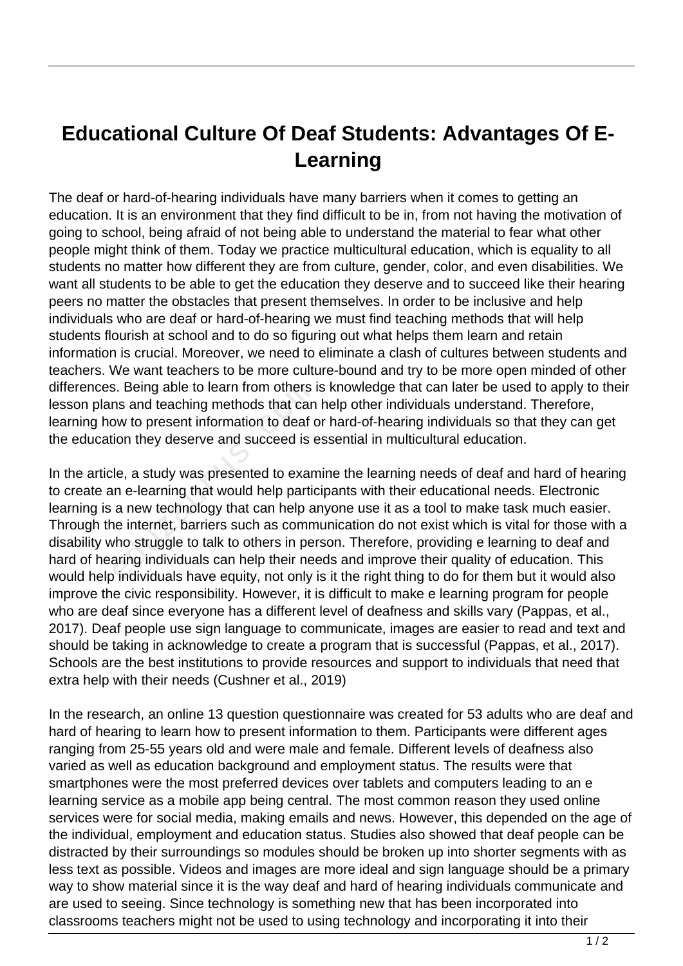## **Educational Culture Of Deaf Students: Advantages Of E-Learning**

The deaf or hard-of-hearing individuals have many barriers when it comes to getting an education. It is an environment that they find difficult to be in, from not having the motivation of going to school, being afraid of not being able to understand the material to fear what other people might think of them. Today we practice multicultural education, which is equality to all students no matter how different they are from culture, gender, color, and even disabilities. We want all students to be able to get the education they deserve and to succeed like their hearing peers no matter the obstacles that present themselves. In order to be inclusive and help individuals who are deaf or hard-of-hearing we must find teaching methods that will help students flourish at school and to do so figuring out what helps them learn and retain information is crucial. Moreover, we need to eliminate a clash of cultures between students and teachers. We want teachers to be more culture-bound and try to be more open minded of other differences. Being able to learn from others is knowledge that can later be used to apply to their lesson plans and teaching methods that can help other individuals understand. Therefore, learning how to present information to deaf or hard-of-hearing individuals so that they can get the education they deserve and succeed is essential in multicultural education.

In the article, a study was presented to examine the learning needs of deaf and hard of hearing to create an e-learning that would help participants with their educational needs. Electronic learning is a new technology that can help anyone use it as a tool to make task much easier. Through the internet, barriers such as communication do not exist which is vital for those with a disability who struggle to talk to others in person. Therefore, providing e learning to deaf and hard of hearing individuals can help their needs and improve their quality of education. This would help individuals have equity, not only is it the right thing to do for them but it would also improve the civic responsibility. However, it is difficult to make e learning program for people who are deaf since everyone has a different level of deafness and skills vary (Pappas, et al., 2017). Deaf people use sign language to communicate, images are easier to read and text and should be taking in acknowledge to create a program that is successful (Pappas, et al., 2017). Schools are the best institutions to provide resources and support to individuals that need that extra help with their needs (Cushner et al., 2019) s. Being able to learn from others<br>ins and teaching methods that can<br>ow to present information to deaf c<br>ion they deserve and succeed is e<br>le, a study was presented to exan<br>in e-learning that would help partic<br>a new techno

In the research, an online 13 question questionnaire was created for 53 adults who are deaf and hard of hearing to learn how to present information to them. Participants were different ages ranging from 25-55 years old and were male and female. Different levels of deafness also varied as well as education background and employment status. The results were that smartphones were the most preferred devices over tablets and computers leading to an e learning service as a mobile app being central. The most common reason they used online services were for social media, making emails and news. However, this depended on the age of the individual, employment and education status. Studies also showed that deaf people can be distracted by their surroundings so modules should be broken up into shorter segments with as less text as possible. Videos and images are more ideal and sign language should be a primary way to show material since it is the way deaf and hard of hearing individuals communicate and are used to seeing. Since technology is something new that has been incorporated into classrooms teachers might not be used to using technology and incorporating it into their